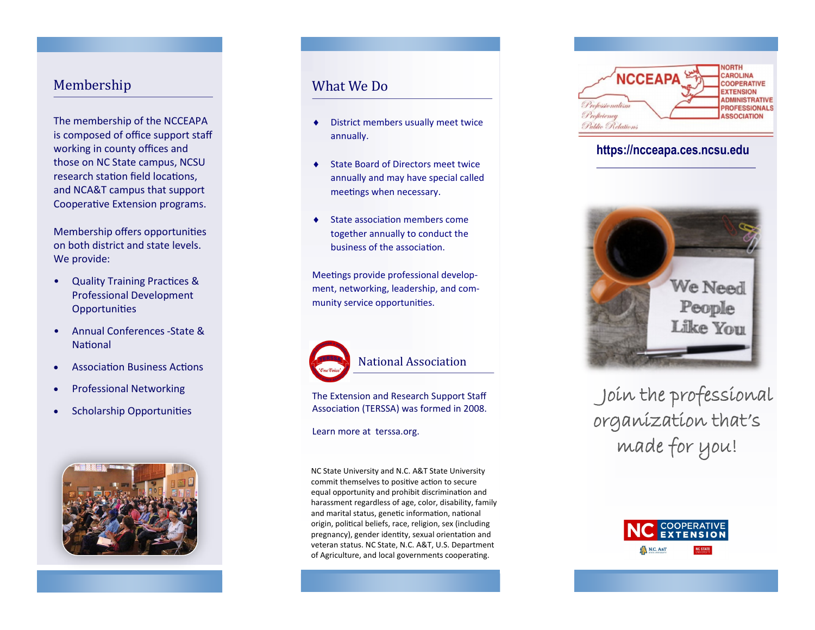#### Membership

The membership of the NCCEAPA is composed of office support staff working in county offices and those on NC State campus, NCSU research station field locations, and NCA&T campus that support Cooperative Extension programs.

Membership offers opportunities on both district and state levels. We provide:

- Quality Training Practices & Professional Development **Opportunities**
- Annual Conferences -State & **National**
- Association Business Actions
- Professional Networking
- Scholarship Opportunities



### What We Do

- District members usually meet twice annually.
- State Board of Directors meet twice annually and may have special called meetings when necessary.
- State association members come together annually to conduct the business of the association.

Meetings provide professional development, networking, leadership, and community service opportunities.



#### National Association

The Extension and Research Support Staff Association (TERSSA) was formed in 2008.

#### Learn more at terssa.org.

NC State University and N.C. A&T State University commit themselves to positive action to secure equal opportunity and prohibit discrimination and harassment regardless of age, color, disability, family and marital status, genetic information, national origin, political beliefs, race, religion, sex (including pregnancy), gender identity, sexual orientation and veteran status. NC State, N.C. A&T, U.S. Department of Agriculture, and local governments cooperating.



#### **https://ncceapa.ces.ncsu.edu**



 Join the professional organization that's made for you!